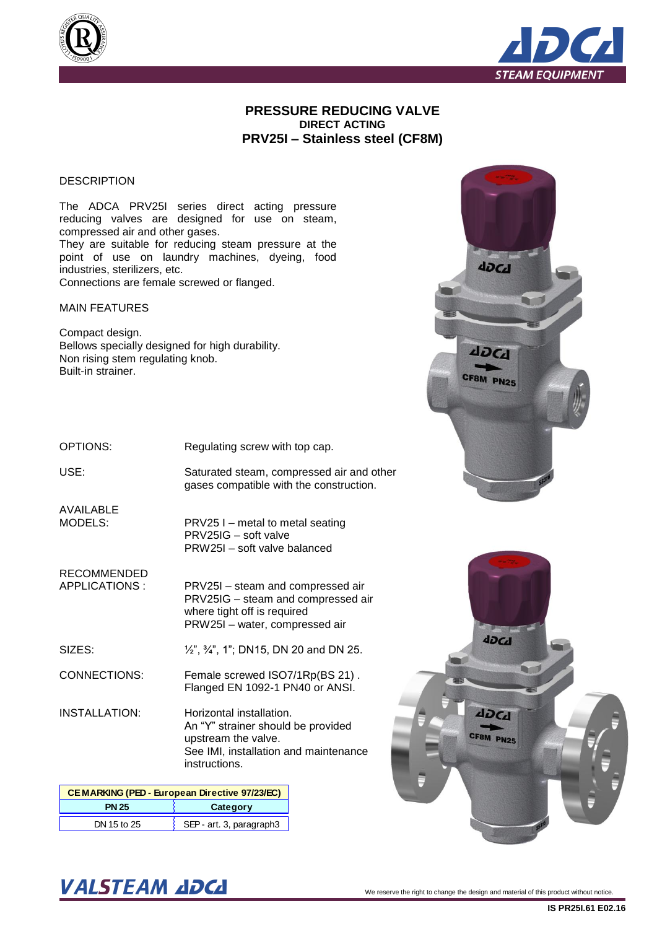



#### **PRESSURE REDUCING VALVE DIRECT ACTING PRV25I – Stainless steel (CF8M)**

#### **DESCRIPTION**

The ADCA PRV25I series direct acting pressure reducing valves are designed for use on steam, compressed air and other gases. They are suitable for reducing steam pressure at the point of use on laundry machines, dyeing, food industries, sterilizers, etc. Connections are female screwed or flanged.

MAIN FEATURES

Compact design. Bellows specially designed for high durability. Non rising stem regulating knob. Built-in strainer.

OPTIONS:

Regulating screw with top cap.

PRV25 I – metal to metal seating

PRW25I – soft valve balanced

PRV25IG – soft valve

USE:

Saturated steam, compressed air and other gases compatible with the construction.

AVAILABLE MODELS:

RECOMMENDED APPLICATIONS :

PRV25I – steam and compressed air PRV25IG – steam and compressed air where tight off is required

PRW25I – water, compressed air

SIZES: ½", ¾", 1"; DN15, DN 20 and DN 25.

CONNECTIONS: Female screwed ISO7/1Rp(BS 21) . Flanged EN 1092-1 PN40 or ANSI.

INSTALLATION: Horizontal installation. An "Y" strainer should be provided upstream the valve. See IMI, installation and maintenance instructions.

| <b>CEMARKING (PED - European Directive 97/23/EC)</b> |                          |  |  |  |  |  |
|------------------------------------------------------|--------------------------|--|--|--|--|--|
| Category<br><b>PN 25</b>                             |                          |  |  |  |  |  |
| DN 15 to 25                                          | SEP - art. 3, paragraph3 |  |  |  |  |  |





# $\textbf{VALSTEAM}$  and  $\textbf{DCL}$  we reserve the right to change the design and material of this product without notice.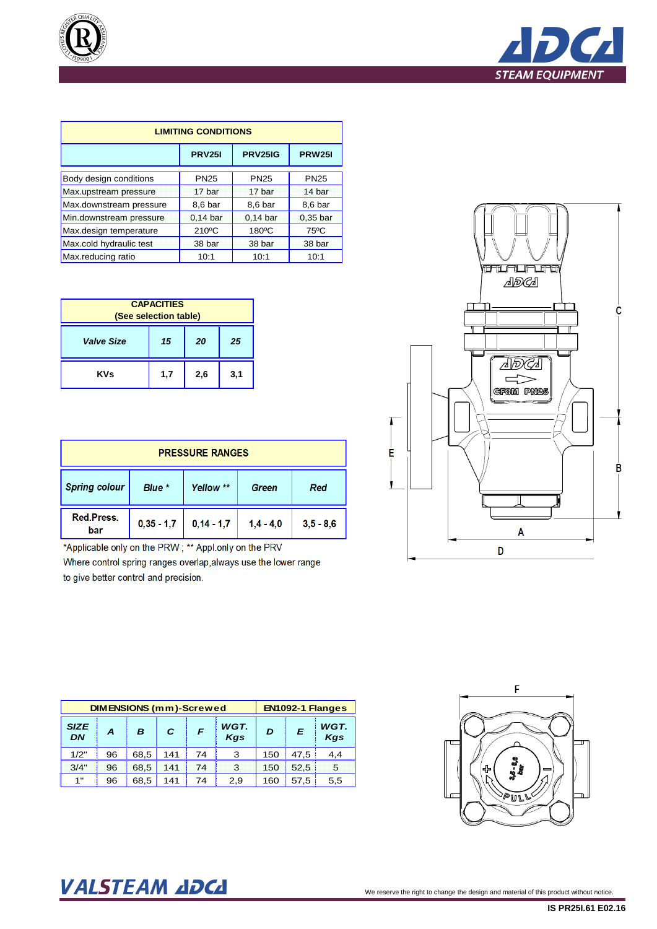



| <b>LIMITING CONDITIONS</b> |               |                 |                |  |  |  |  |  |  |
|----------------------------|---------------|-----------------|----------------|--|--|--|--|--|--|
|                            | <b>PRV251</b> | <b>PRV25IG</b>  | <b>PRW251</b>  |  |  |  |  |  |  |
| Body design conditions     | <b>PN25</b>   | <b>PN25</b>     | <b>PN25</b>    |  |  |  |  |  |  |
| Max.upstream pressure      | 17 bar        | 17 bar          | 14 bar         |  |  |  |  |  |  |
| Max.downstream pressure    | 8,6 bar       | 8,6 bar         | 8,6 bar        |  |  |  |  |  |  |
| Min.downstream pressure    | $0.14$ bar    | $0.14$ bar      | $0.35$ bar     |  |  |  |  |  |  |
| Max.design temperature     | 210°C         | $180^{\circ}$ C | $75^{\circ}$ C |  |  |  |  |  |  |
| Max.cold hydraulic test    | 38 bar        | 38 bar          | 38 bar         |  |  |  |  |  |  |
| Max.reducing ratio         | 10:1          | 10:1            | 10:1           |  |  |  |  |  |  |

| <b>CAPACITIES</b><br>(See selection table) |     |     |     |  |  |  |  |
|--------------------------------------------|-----|-----|-----|--|--|--|--|
| <b>Valve Size</b><br>15<br>20<br>25        |     |     |     |  |  |  |  |
| <b>KVs</b>                                 | 1,7 | 2,6 | 3,1 |  |  |  |  |

| <b>PRESSURE RANGES</b>                                      |              |              |             |             |  |  |  |  |
|-------------------------------------------------------------|--------------|--------------|-------------|-------------|--|--|--|--|
| <b>Spring colour</b><br>Blue *<br>Yellow **<br>Red<br>Green |              |              |             |             |  |  |  |  |
| Red.Press.<br>bar                                           | $0,35 - 1,7$ | $0,14 - 1,7$ | $1,4 - 4,0$ | $3,5 - 8,6$ |  |  |  |  |

\*Applicable only on the PRW; \*\* Appl.only on the PRV

Where control spring ranges overlap, always use the lower range to give better control and precision.

|                   | <b>DIMENSIONS (mm)-Screwed</b> |      |     | EN1092-1 Flanges |             |     |      |             |
|-------------------|--------------------------------|------|-----|------------------|-------------|-----|------|-------------|
| <b>SIZE</b><br>DN | A                              | B    | С   | F                | WGT.<br>Kgs | D   | E    | WGT.<br>Kgs |
| 1/2"              | 96                             | 68.5 | 141 | 74               | 3           | 150 | 47.5 | 4.4         |
| 3/4"              | 96                             | 68.5 | 141 | 74               | 3           | 150 | 52.5 | 5           |
| 1"                | 96                             | 68.5 | 141 | 74               | 2,9         | 160 | 57.5 | 5,5         |





# VALSTEAM ADCA We reserve the right to change the design and material of this product without notice.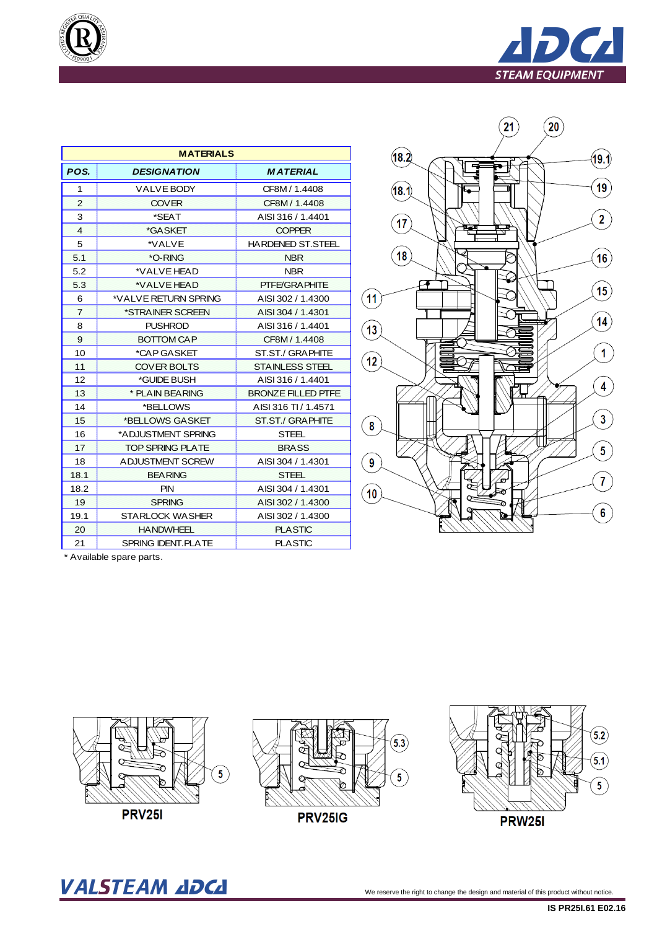

| QUALITY)<br>q,<br>Ë |
|---------------------|
| $\sqrt{$0900}$      |

|                         | <b>MATERIALS</b>          |                           |  |  |  |  |  |  |  |  |
|-------------------------|---------------------------|---------------------------|--|--|--|--|--|--|--|--|
| POS.                    | <b>DESIGNATION</b>        | <b>MATERIAL</b>           |  |  |  |  |  |  |  |  |
| 1                       | <b>VALVE BODY</b>         | CF8M / 1.4408             |  |  |  |  |  |  |  |  |
| $\overline{2}$          | <b>COVER</b>              | CF8M/1.4408               |  |  |  |  |  |  |  |  |
| 3                       | *SEAT                     | AISI 316 / 1.4401         |  |  |  |  |  |  |  |  |
| $\overline{\mathbf{4}}$ | *GASKET                   | <b>COPPER</b>             |  |  |  |  |  |  |  |  |
| 5                       | *VALVE                    | <b>HARDENED ST.STEEL</b>  |  |  |  |  |  |  |  |  |
| 5.1                     | *O-RING                   | <b>NBR</b>                |  |  |  |  |  |  |  |  |
| 5.2                     | *VALVE HEAD               | NBR.                      |  |  |  |  |  |  |  |  |
| 5.3                     | *VALVE HEAD               | PTFE/GRAPHITE             |  |  |  |  |  |  |  |  |
| 6                       | *VALVE RETURN SPRING      | AISI 302 / 1.4300         |  |  |  |  |  |  |  |  |
| $\overline{7}$          | *STRAINER SCREEN          | AISI 304 / 1.4301         |  |  |  |  |  |  |  |  |
| 8                       | <b>PUSHROD</b>            | AISI 316 / 1.4401         |  |  |  |  |  |  |  |  |
| 9                       | <b>BOTTOM CAP</b>         | CF8M/1.4408               |  |  |  |  |  |  |  |  |
| 10                      | *CAP GASKET               | ST.ST./ GRAPHITE          |  |  |  |  |  |  |  |  |
| 11                      | <b>COVER BOLTS</b>        | <b>STAINLESS STEEL</b>    |  |  |  |  |  |  |  |  |
| 12                      | *GUIDE BUSH               | AISI 316 / 1.4401         |  |  |  |  |  |  |  |  |
| 13                      | * PLAIN BEARING           | <b>BRONZE FILLED PTFE</b> |  |  |  |  |  |  |  |  |
| 14                      | *BELLOWS                  | AISI 316 TI / 1.4571      |  |  |  |  |  |  |  |  |
| 15                      | *BELLOWS GASKET           | ST.ST./ GRAPHITE          |  |  |  |  |  |  |  |  |
| 16                      | *ADJUSTMENT SPRING        | <b>STEEL</b>              |  |  |  |  |  |  |  |  |
| 17                      | <b>TOP SPRING PLATE</b>   | <b>BRASS</b>              |  |  |  |  |  |  |  |  |
| 18                      | A DJUSTMENT SCREW         | AISI 304 / 1.4301         |  |  |  |  |  |  |  |  |
| 18.1                    | <b>BEARING</b>            | <b>STEFL</b>              |  |  |  |  |  |  |  |  |
| 18.2                    | <b>PIN</b>                | AISI 304 / 1.4301         |  |  |  |  |  |  |  |  |
| 19                      | <b>SPRING</b>             | AISI 302 / 1.4300         |  |  |  |  |  |  |  |  |
| 19.1                    | STARLOCK WASHER           | AISI 302 / 1.4300         |  |  |  |  |  |  |  |  |
| 20                      | <b>HANDWHEEL</b>          | <b>PLASTIC</b>            |  |  |  |  |  |  |  |  |
| 21                      | <b>SPRING IDENT.PLATE</b> | <b>PLASTIC</b>            |  |  |  |  |  |  |  |  |



\* Available spare parts.



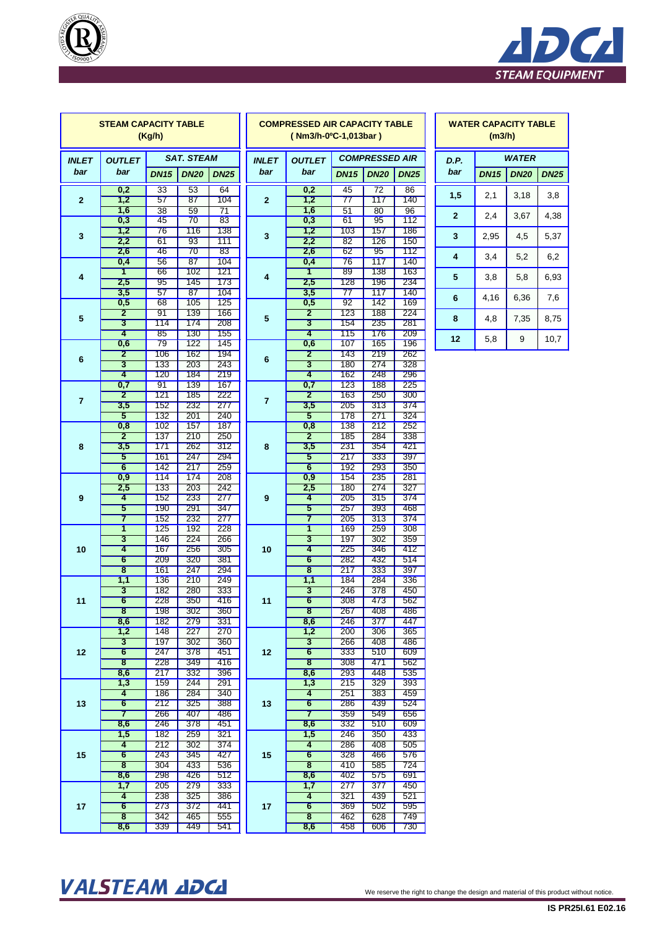



|                 | <b>STEAM CAPACITY TABLE</b>    | (Kg/h)      |                   |                       | <b>COMPRESSED AIR CAPACITY TABLE</b><br>(Nm3/h-0°C-1,013bar) |                                                        |                                    |             |             |                | (m3/h)       | <b>WATER CAPACITY TA</b> |
|-----------------|--------------------------------|-------------|-------------------|-----------------------|--------------------------------------------------------------|--------------------------------------------------------|------------------------------------|-------------|-------------|----------------|--------------|--------------------------|
| <b>INLET</b>    | <b>OUTLET</b>                  |             | <b>SAT. STEAM</b> |                       |                                                              | <b>COMPRESSED AIR</b><br><b>INLET</b><br><b>OUTLET</b> |                                    |             | D.P.        |                | <b>WATER</b> |                          |
| bar             | bar                            | <b>DN15</b> | <b>DN20</b>       | <b>DN25</b>           | bar                                                          | bar                                                    | <b>DN15</b>                        | <b>DN20</b> | <b>DN25</b> | bar            | <b>DN15</b>  | <b>DN20</b>              |
|                 | 0,2                            | 33          | 53                | 64                    |                                                              | 0,2                                                    | 45                                 | 72          | 86          | 1,5            | 2,1          | 3,18                     |
| $\overline{2}$  | 1,2<br>1,6                     | 57          | 87                | 104                   | $\overline{2}$                                               | 1,2<br>1,6                                             | $\overline{77}$<br>$\overline{51}$ | 117         | 140         |                |              |                          |
|                 | 0,3                            | 38<br>45    | 59<br>70          | $\overline{71}$<br>83 |                                                              | 0,3                                                    | 61                                 | 80<br>95    | 96<br>112   | $\overline{2}$ | 2,4          | 3,67                     |
| 3               | 1,2                            | 76          | 116               | 138                   | 3                                                            | 1,2                                                    | 103                                | 157         | 186         | 3              | 2,95         | 4,5                      |
|                 | 2,2                            | 61          | 93                | 111                   |                                                              | 2,2                                                    | 82                                 | 126         | 150         |                |              |                          |
|                 | 2,6<br>0,4                     | 46<br>56    | 70<br>87          | 83<br>104             |                                                              | 2,6<br>0,4                                             | 62<br>76                           | 95<br>117   | 112<br>140  | 4              | 3,4          | 5,2                      |
|                 | $\overline{\mathbf{1}}$        | 66          | 102               | 121                   |                                                              | 1                                                      | 89                                 | 138         | 163         |                |              |                          |
| 4               | 2,5                            | 95          | 145               | 173                   | 4                                                            | 2,5                                                    | 128                                | 196         | 234         | 5              | 3,8          | 5,8                      |
|                 | 3,5                            | 57<br>68    | 87<br>105         | 104<br>125            |                                                              | 3,5                                                    | 77<br>92                           | 117<br>142  | 140<br>169  | 6              | 4,16         | 6,36                     |
|                 | 0,5<br>$\overline{2}$          | 91          | 139               | 166                   |                                                              | 0,5<br>$\overline{2}$                                  | 123                                | 188         | 224         |                |              |                          |
| $5\phantom{.0}$ | $\overline{\mathbf{3}}$        | 114         | 174               | 208                   | 5                                                            | $\overline{\mathbf{3}}$                                | 154                                | 235         | 281         | 8              | 4,8          | 7,35                     |
|                 | 4                              | 85          | 130               | 155                   |                                                              | 4                                                      | 115                                | 176         | 209         | 12             | 5,8          | $9\,$                    |
|                 | 0,6<br>$\overline{2}$          | 79<br>106   | 122<br>162        | 145<br>194            |                                                              | 0,6<br>$\overline{2}$                                  | 107<br>143                         | 165<br>219  | 196<br>262  |                |              |                          |
| 6               | $\overline{\mathbf{3}}$        | 133         | 203               | 243                   | 6                                                            | $\overline{\mathbf{3}}$                                | 180                                | 274         | 328         |                |              |                          |
|                 | 4                              | 120         | 184               | 219                   |                                                              | 4                                                      | 162                                | 248         | 296         |                |              |                          |
|                 | 0,7                            | 91          | 139               | 167                   |                                                              | 0,7                                                    | 123                                | <b>188</b>  | 225         |                |              |                          |
| $\overline{7}$  | $\overline{\mathbf{2}}$<br>3,5 | 121<br>152  | 185<br>232        | 222<br>277            | $\overline{7}$                                               | $\overline{2}$<br>3,5                                  | 163<br>205                         | 250<br>313  | 300<br>374  |                |              |                          |
|                 | 5                              | 132         | 201               | 240                   |                                                              | 5                                                      | 178                                | 271         | 324         |                |              |                          |
|                 | 0,8                            | 102         | 157               | 187                   |                                                              | 0,8                                                    | 138                                | 212         | 252         |                |              |                          |
|                 | $\overline{2}$                 | 137         | 210               | 250                   |                                                              | $\overline{2}$                                         | 185                                | 284         | 338         |                |              |                          |
| 8               | 3,5<br>5                       | 171<br>161  | 262<br>247        | 312<br>294            | 8                                                            | 3,5<br>5                                               | 231<br>217                         | 354<br>333  | 421<br>397  |                |              |                          |
|                 | $6\overline{6}$                | 142         | 217               | 259                   |                                                              | $6\overline{6}$                                        | 192                                | 293         | 350         |                |              |                          |
|                 | 0,9                            | 114         | 174               | 208                   |                                                              | 0,9                                                    | 154                                | 235         | 281         |                |              |                          |
|                 | 2,5                            | 133         | 203               | 242                   |                                                              | 2,5                                                    | 180                                | 274         | 327         |                |              |                          |
| 9               | $\overline{4}$<br>5            | 152<br>190  | 233<br>291        | 277<br>347            | 9                                                            | 4<br>$\overline{5}$                                    | 205<br>257                         | 315<br>393  | 374<br>468  |                |              |                          |
|                 | 7                              | 152         | 232               | 277                   |                                                              | 7                                                      | 205                                | 313         | 374         |                |              |                          |
|                 | $\overline{\mathbf{1}}$        | 125         | 192               | 228                   |                                                              | $\overline{\mathbf{1}}$                                | <b>169</b>                         | 259         | 308         |                |              |                          |
| 10              | $\overline{\mathbf{3}}$<br>4   | 146<br>167  | 224<br>256        | 266<br>305            | 10                                                           | $\overline{\mathbf{3}}$<br>4                           | 197<br>225                         | 302<br>346  | 359<br>412  |                |              |                          |
|                 | $6\phantom{1}6$                | 209         | 320               | 381                   |                                                              | 6                                                      | 282                                | 432         | 514         |                |              |                          |
|                 | $\overline{\mathbf{8}}$        | 161         | 247               | 294                   |                                                              | $\overline{\mathbf{8}}$                                | 217                                | 333         | 397         |                |              |                          |
|                 | 1,1                            | 136         | 210               | 249                   |                                                              | 1,1                                                    | 184                                | 284         | 336         |                |              |                          |
| 11              | 3<br>$\overline{6}$            | 182<br>228  | 280<br>350        | 333<br>416            | 11                                                           | 3<br>6                                                 | 246<br>308                         | 378<br>473  | 450<br>562  |                |              |                          |
|                 | 8                              | 198         | 302               | 360                   |                                                              | 8                                                      | 267                                | 408         | 486         |                |              |                          |
|                 | 8,6                            | 182         | 279               | 331                   |                                                              | 8,6                                                    | 246                                | 377         | 447         |                |              |                          |
|                 | 1,2<br>$\overline{3}$          | 148<br>197  | 227<br>302        | 270                   |                                                              | 1,2<br>3                                               | 200<br>266                         | 306<br>408  | 365         |                |              |                          |
| 12              | $6\overline{6}$                | 247         | 378               | 360<br>451            | 12                                                           | $6\overline{6}$                                        | 333                                | 510         | 486<br>609  |                |              |                          |
|                 | $\overline{\mathbf{8}}$        | 228         | 349               | 416                   |                                                              | $\overline{\mathbf{8}}$                                | 308                                | 471         | 562         |                |              |                          |
|                 | 8,6                            | 217         | 332               | 396                   |                                                              | 8,6                                                    | 293                                | 448         | 535         |                |              |                          |
|                 | 1,3<br>4                       | 159<br>186  | 244<br>284        | 291<br>340            |                                                              | 1,3<br>4                                               | 215<br>251                         | 329<br>383  | 393<br>459  |                |              |                          |
| 13              | $6\overline{6}$                | 212         | 325               | 388                   | 13                                                           | $6\overline{6}$                                        | 286                                | 439         | 524         |                |              |                          |
|                 | $\overline{7}$                 | 266         | 407               | 486                   |                                                              | $\overline{7}$                                         | 359                                | 549         | 656         |                |              |                          |
|                 | 8,6                            | 246         | 378               | 451                   |                                                              | 8,6                                                    | 332                                | 510         | 609         |                |              |                          |
|                 | 1,5<br>4                       | 182<br>212  | 259<br>302        | 321<br>374            |                                                              | 1,5<br>4                                               | 246<br>286                         | 350<br>408  | 433<br>505  |                |              |                          |
| 15              | $6\phantom{1}$                 | 243         | 345               | 427                   | 15                                                           | $6\phantom{1}$                                         | 328                                | 466         | 576         |                |              |                          |
|                 | $\overline{\mathbf{8}}$        | 304         | 433               | 536                   |                                                              | $\overline{\mathbf{8}}$                                | 410                                | 585         | 724         |                |              |                          |
|                 | 8,6<br>1,7                     | 298<br>205  | 426<br>279        | 512<br>333            |                                                              | 8,6<br>1,7                                             | 402<br>277                         | 575<br>377  | 691<br>450  |                |              |                          |
|                 | $\overline{4}$                 | 238         | 325               | 386                   |                                                              | 4                                                      | 321                                | 439         | 521         |                |              |                          |
| 17              | $6\overline{6}$                | 273         | 372               | 441                   | 17                                                           | $6\overline{6}$                                        | 369                                | 502         | 595         |                |              |                          |
|                 | 8                              | 342         | 465               | 555                   |                                                              | $\overline{\mathbf{8}}$                                | 462                                | 628         | 749         |                |              |                          |
|                 | 8,6                            | 339         | 449               | 541                   |                                                              | 8,6                                                    | 458                                | 606         | 730         |                |              |                          |

| <b>WATER CAPACITY TABLE</b><br>(m3/h) |             |                            |      |  |  |  |  |  |  |
|---------------------------------------|-------------|----------------------------|------|--|--|--|--|--|--|
| D.P.                                  | WATER       |                            |      |  |  |  |  |  |  |
| bar                                   | <b>DN15</b> | <b>DN25</b><br><b>DN20</b> |      |  |  |  |  |  |  |
| 1,5                                   | 2,1         | 3,18                       | 3,8  |  |  |  |  |  |  |
| $\overline{2}$                        | 2,4         | 3,67                       | 4,38 |  |  |  |  |  |  |
| 3                                     | 2,95        | 4,5                        | 5,37 |  |  |  |  |  |  |
| 4                                     | 3,4         | 5,2                        | 6,2  |  |  |  |  |  |  |
| 5                                     | 3,8         | 5,8                        | 6,93 |  |  |  |  |  |  |
| 6                                     | 4,16        | 6,36                       | 7,6  |  |  |  |  |  |  |
| 8                                     | 4,8         | 7,35                       | 8,75 |  |  |  |  |  |  |
| 12                                    | 5,8         | 9                          | 10,7 |  |  |  |  |  |  |

### VALSTEAM ADCA We reserve the right to change the design and material of this product without notice.